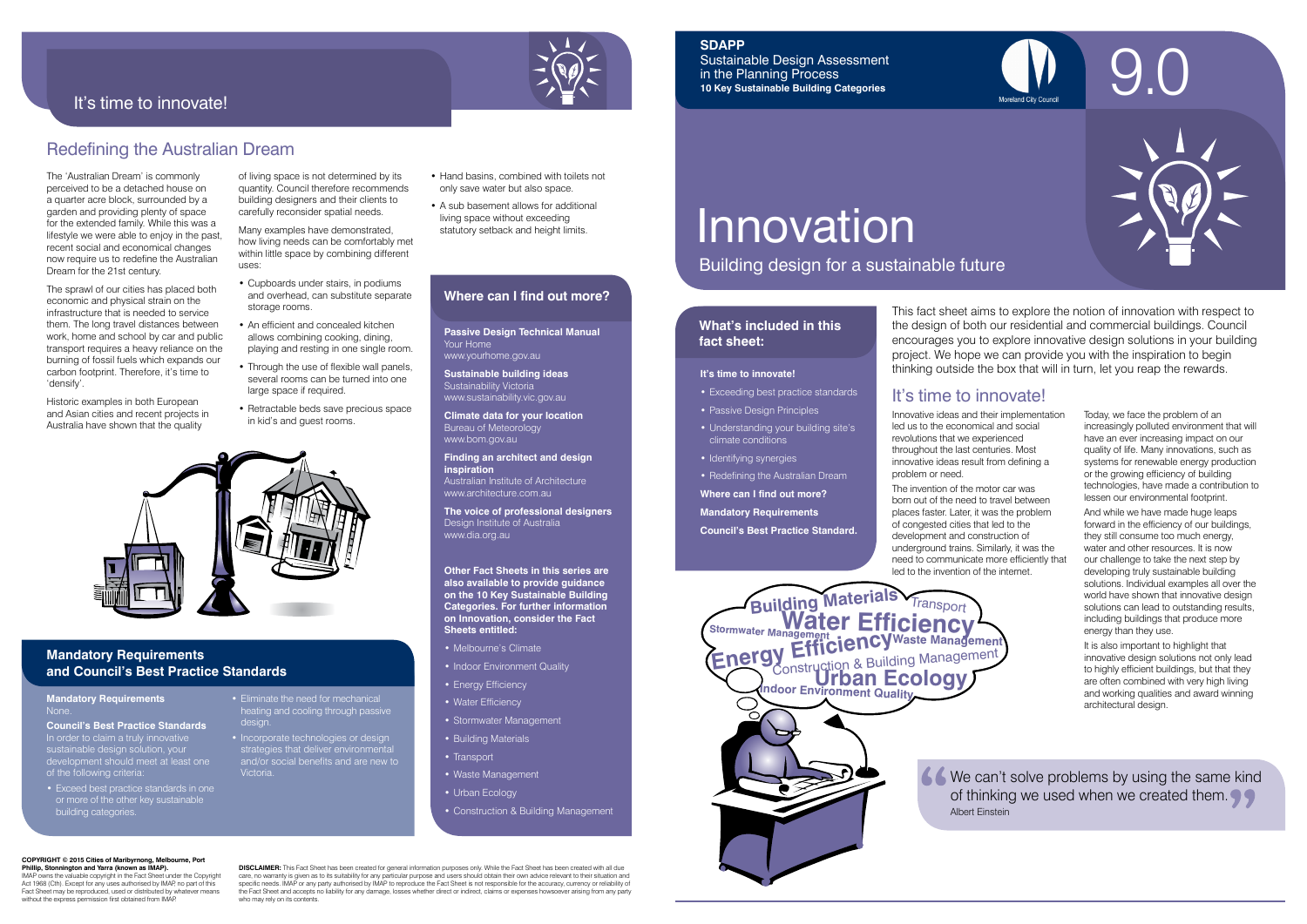# Innovation

Building design for a sustainable future

### **What's included in this fact sheet:**

9.0

Innovative ideas and their implementation led us to the economical and social revolutions that we experienced throughout the last centuries. Most innovative ideas result from defining a problem or need.

The invention of the motor car was born out of the need to travel between places faster. Later, it was the problem of congested cities that led to the development and construction of underground trains. Similarly, it was the need to communicate more efficiently that led to the invention of the internet.

And while we have made huge leaps forward in the efficiency of our buildings, they still consume too much energy, water and other resources. It is now our challenge to take the next step by developing truly sustainable building solutions. Individual examples all over the world have shown that innovative design solutions can lead to outstanding results, including buildings that produce more energy than they use.

Today, we face the problem of an increasingly polluted environment that will have an ever increasing impact on our quality of life. Many innovations, such as systems for renewable energy production or the growing efficiency of building technologies, have made a contribution to lessen our environmental footprint.



It is also important to highlight that innovative design solutions not only lead to highly efficient buildings, but that they are often combined with very high living and working qualities and award winning architectural design.

We can't solve problems by using the same kind of thinking we used when we created them.

## It's time to innovate!

#### **It's time to innovate!**

- Exceeding best practice standards
- Passive Design Principles
- Understanding your building site's climate conditions
- Identifying synergies
- Redefining the Australian Dream
- **Where can I find out more?**
- **Mandatory Requirements**

**Council's Best Practice Standard.**

This fact sheet aims to explore the notion of innovation with respect to the design of both our residential and commercial buildings. Council encourages you to explore innovative design solutions in your building project. We hope we can provide you with the inspiration to begin thinking outside the box that will in turn, let you reap the rewards.

**Passive Design Technical Manual** Your Home www.yourhome.gov.au

**Sustainable building ideas** 

IMAP owns the valuable copyright in the Fact Sheet under the Copyright Act 1968 (Cth). Except for any uses authorised by IMAP, no part of this Fact Sheet may be reproduced, used or distributed by whatever means without the express permission first obtained from IMAF

Sustainability Victoria www.sustainability.vic.gov.au **Climate data for your location**

Bureau of Meteorology www.bom.gov.au

**DISCLAIMER:** This Fact Sheet has been created for general information purposes only. While the Fact Sheet has been created with all due care, no warranty is given as to its suitability for any particular purpose and users should obtain their own advice relevant to their situation and<br>specific needs. IMAP or any party authorised by IMAP to reproduce the Fac the Fact Sheet and accepts no liability for any damage, losses whether direct or indirect, claims or expenses howsoever arising from any party who may rely on its contents.





#### **Finding an architect and design inspiration**

Australian Institute of Architecture www.architecture.com.au

**The voice of professional designers** Design Institute of Australia www.dia.org.au

**Other Fact Sheets in this series are also available to provide guidance on the 10 Key Sustainable Building Categories. For further information on Innovation, consider the Fact Sheets entitled:** 

**Council's Best Practice Standards** In order to claim a truly innovative sustainable design solution, your development should meet at least one of the following criteria:

- Melbourne's Climate
- Indoor Environment Quality
- Energy Efficiency
- Water Efficiency
- Stormwater Management
- Building Materials
- Transport
- Waste Management
- Urban Ecology
- Construction & Building Management

### **Where can I find out more?**

## It's time to innovate!

### Redefining the Australian Dream

The 'Australian Dream' is commonly perceived to be a detached house on a quarter acre block, surrounded by a garden and providing plenty of space for the extended family. While this was a lifestyle we were able to enjoy in the past, recent social and economical changes now require us to redefine the Australian Dream for the 21st century.

The sprawl of our cities has placed both economic and physical strain on the infrastructure that is needed to service them. The long travel distances between work, home and school by car and public transport requires a heavy reliance on the burning of fossil fuels which expands our carbon footprint. Therefore, it's time to 'densify'.

Historic examples in both European and Asian cities and recent projects in Australia have shown that the quality

of living space is not determined by its quantity. Council therefore recommends building designers and their clients to carefully reconsider spatial needs.

Many examples have demonstrated, how living needs can be comfortably met within little space by combining different uses:

- Cupboards under stairs, in podiums and overhead, can substitute separate storage rooms.
- An efficient and concealed kitchen allows combining cooking, dining, playing and resting in one single room.
- Through the use of flexible wall panels, several rooms can be turned into one large space if required.
- Retractable beds save precious space in kid's and guest rooms.



• Hand basins, combined with toilets not only save water but also space.

• A sub basement allows for additional living space without exceeding statutory setback and height limits.

### **Mandatory Requirements and Council's Best Practice Standards**

#### **COPYRIGHT © 2015 Cities of Maribyrnong, Melbourne, Port Phillip, Stonnington and Yarra (known as IMAP).**



### **SDAPP**

Sustainable Design Assessment in the Planning Process **10 Key Sustainable Building Categories**

#### **Mandatory Requirements** None.

- Exceed best practice standards in one or more of the other key sustainable building categories.
- Eliminate the need for mechanical heating and cooling through passive
- Incorporate technologies or design strategies that deliver environmental and/or social benefits and are new to Victoria.
- 
- design.
-